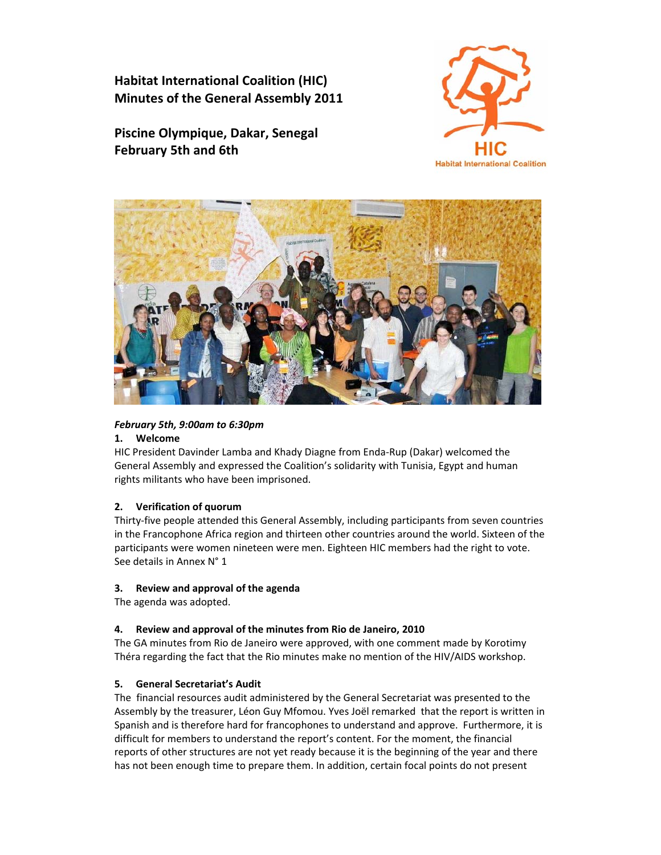**Habitat International Coalition (HIC) Minutes of the General Assembly 2011**

**Piscine Olympique, Dakar, Senegal February 5th and 6th**





# *February 5th, 9:00am to 6:30pm*

### **1. Welcome**

HIC President Davinder Lamba and Khady Diagne from Enda‐Rup (Dakar) welcomed the General Assembly and expressed the Coalition's solidarity with Tunisia, Egypt and human rights militants who have been imprisoned.

#### **2. Verification of quorum**

Thirty‐five people attended this General Assembly, including participants from seven countries in the Francophone Africa region and thirteen other countries around the world. Sixteen of the participants were women nineteen were men. Eighteen HIC members had the right to vote. See details in Annex N° 1

### **3. Review and approval of the agenda**

The agenda was adopted.

#### **4. Review and approval of the minutes from Rio de Janeiro, 2010**

The GA minutes from Rio de Janeiro were approved, with one comment made by Korotimy Théra regarding the fact that the Rio minutes make no mention of the HIV/AIDS workshop.

#### **5. General Secretariat's Audit**

The financial resources audit administered by the General Secretariat was presented to the Assembly by the treasurer, Léon Guy Mfomou. Yves Joël remarked that the report is written in Spanish and is therefore hard for francophones to understand and approve. Furthermore, it is difficult for members to understand the report's content. For the moment, the financial reports of other structures are not yet ready because it is the beginning of the year and there has not been enough time to prepare them. In addition, certain focal points do not present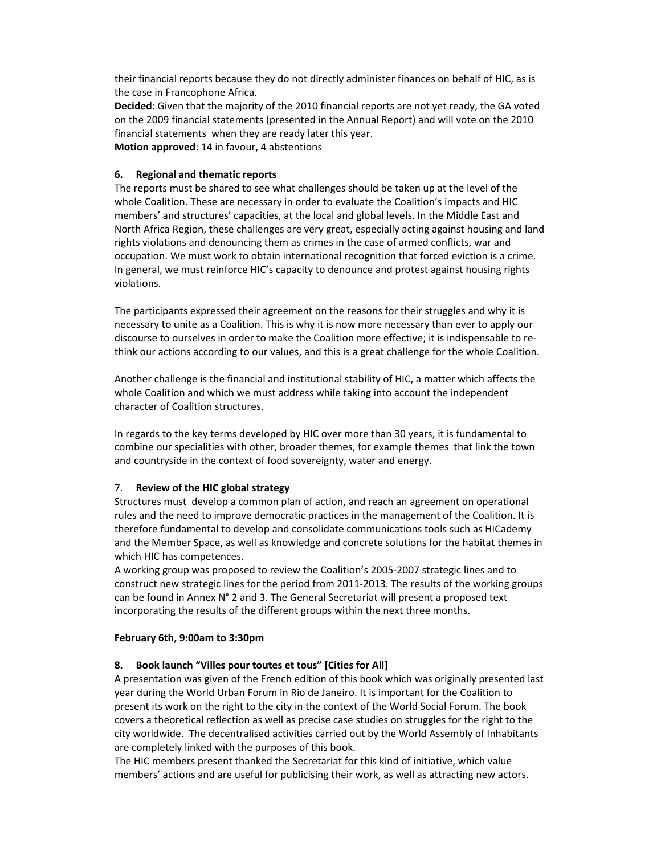their financial reports because they do not directly administer finances on behalf of HIC, as is the case in Francophone Africa.

**Decided**: Given that the majority of the 2010 financial reports are not yet ready, the GA voted on the 2009 financial statements (presented in the Annual Report) and will vote on the 2010 financial statements when they are ready later this year.

**Motion approved**: 14 in favour, 4 abstentions

### **6. Regional and thematic reports**

The reports must be shared to see what challenges should be taken up at the level of the whole Coalition. These are necessary in order to evaluate the Coalition's impacts and HIC members' and structures' capacities, at the local and global levels. In the Middle East and North Africa Region, these challenges are very great, especially acting against housing and land rights violations and denouncing them as crimes in the case of armed conflicts, war and occupation. We must work to obtain international recognition that forced eviction is a crime. In general, we must reinforce HIC's capacity to denounce and protest against housing rights violations.

The participants expressed their agreement on the reasons for their struggles and why it is necessary to unite as a Coalition. This is why it is now more necessary than ever to apply our discourse to ourselves in order to make the Coalition more effective; it is indispensable to re‐ think our actions according to our values, and this is a great challenge for the whole Coalition.

Another challenge is the financial and institutional stability of HIC, a matter which affects the whole Coalition and which we must address while taking into account the independent character of Coalition structures.

In regards to the key terms developed by HIC over more than 30 years, it is fundamental to combine our specialities with other, broader themes, for example themes that link the town and countryside in the context of food sovereignty, water and energy.

#### 7. **Review of the HIC global strategy**

Structures must develop a common plan of action, and reach an agreement on operational rules and the need to improve democratic practices in the management of the Coalition. It is therefore fundamental to develop and consolidate communications tools such as HICademy and the Member Space, as well as knowledge and concrete solutions for the habitat themes in which HIC has competences.

A working group was proposed to review the Coalition's 2005‐2007 strategic lines and to construct new strategic lines for the period from 2011‐2013. The results of the working groups can be found in Annex N° 2 and 3. The General Secretariat will present a proposed text incorporating the results of the different groups within the next three months.

#### **February 6th, 9:00am to 3:30pm**

# **8. Book launch "Villes pour toutes et tous" [Cities for All]**

A presentation was given of the French edition of this book which was originally presented last year during the World Urban Forum in Rio de Janeiro. It is important for the Coalition to present its work on the right to the city in the context of the World Social Forum. The book covers a theoretical reflection as well as precise case studies on struggles for the right to the city worldwide. The decentralised activities carried out by the World Assembly of Inhabitants are completely linked with the purposes of this book.

The HIC members present thanked the Secretariat for this kind of initiative, which value members' actions and are useful for publicising their work, as well as attracting new actors.